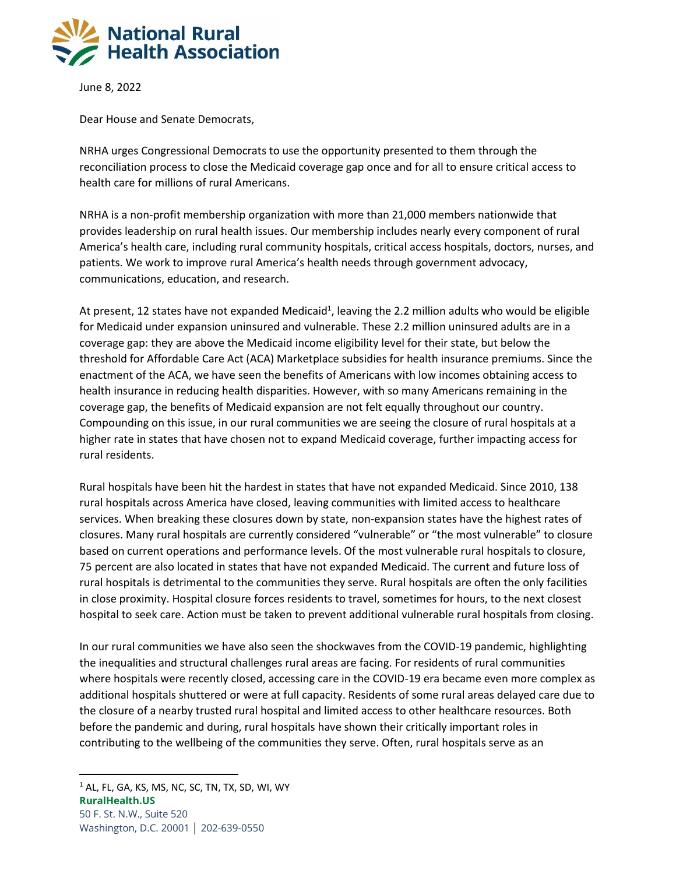

June 8, 2022

Dear House and Senate Democrats,

NRHA urges Congressional Democrats to use the opportunity presented to them through the reconciliation process to close the Medicaid coverage gap once and for all to ensure critical access to health care for millions of rural Americans.

NRHA is a non-profit membership organization with more than 21,000 members nationwide that provides leadership on rural health issues. Our membership includes nearly every component of rural America's health care, including rural community hospitals, critical access hospitals, doctors, nurses, and patients. We work to improve rural America's health needs through government advocacy, communications, education, and research.

At present, 12 states have not expanded Medicaid<sup>1</sup>, leaving the 2.2 million adults who would be eligible for Medicaid under expansion uninsured and vulnerable. These 2.2 million uninsured adults are in a coverage gap: they are above the Medicaid income eligibility level for their state, but below the threshold for Affordable Care Act (ACA) Marketplace subsidies for health insurance premiums. Since the enactment of the ACA, we have seen the benefits of Americans with low incomes obtaining access to health insurance in reducing health disparities. However, with so many Americans remaining in the coverage gap, the benefits of Medicaid expansion are not felt equally throughout our country. Compounding on this issue, in our rural communities we are seeing the closure of rural hospitals at a higher rate in states that have chosen not to expand Medicaid coverage, further impacting access for rural residents.

Rural hospitals have been hit the hardest in states that have not expanded Medicaid. Since 2010, 138 rural hospitals across America have closed, leaving communities with limited access to healthcare services. When breaking these closures down by state, non-expansion states have the highest rates of closures. Many rural hospitals are currently considered "vulnerable" or "the most vulnerable" to closure based on current operations and performance levels. Of the most vulnerable rural hospitals to closure, 75 percent are also located in states that have not expanded Medicaid. The current and future loss of rural hospitals is detrimental to the communities they serve. Rural hospitals are often the only facilities in close proximity. Hospital closure forces residents to travel, sometimes for hours, to the next closest hospital to seek care. Action must be taken to prevent additional vulnerable rural hospitals from closing.

In our rural communities we have also seen the shockwaves from the COVID-19 pandemic, highlighting the inequalities and structural challenges rural areas are facing. For residents of rural communities where hospitals were recently closed, accessing care in the COVID-19 era became even more complex as additional hospitals shuttered or were at full capacity. Residents of some rural areas delayed care due to the closure of a nearby trusted rural hospital and limited access to other healthcare resources. Both before the pandemic and during, rural hospitals have shown their critically important roles in contributing to the wellbeing of the communities they serve. Often, rural hospitals serve as an

**RuralHealth.US**

 $1$  AL, FL, GA, KS, MS, NC, SC, TN, TX, SD, WI, WY